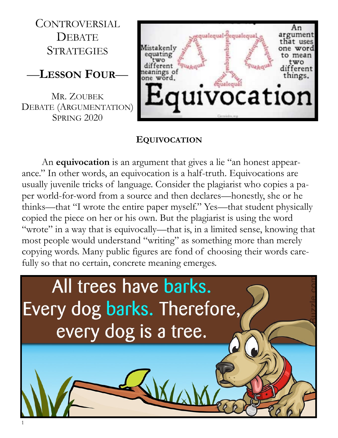CONTROVERSIAL **DEBATE STRATEGIES** 

## —**LESSON FOUR**—

MR. ZOUBEK DEBATE (ARGUMENTATION) **SPRING 2020** 



## **EQUIVOCATION**

An **equivocation** is an argument that gives a lie "an honest appearance." In other words, an equivocation is a half-truth. Equivocations are usually juvenile tricks of language. Consider the plagiarist who copies a paper world-for-word from a source and then declares—honestly, she or he thinks—that "I wrote the entire paper myself." Yes—that student physically copied the piece on her or his own. But the plagiarist is using the word "wrote" in a way that is equivocally—that is, in a limited sense, knowing that most people would understand "writing" as something more than merely copying words. Many public figures are fond of choosing their words carefully so that no certain, concrete meaning emerges.

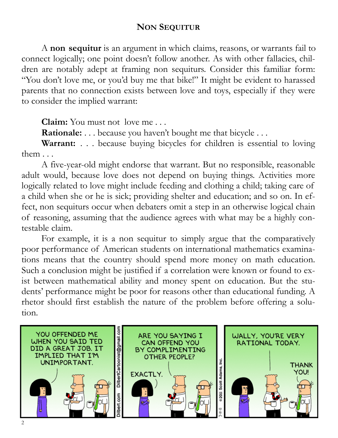## **NON SEQUITUR**

A **non sequitur** is an argument in which claims, reasons, or warrants fail to connect logically; one point doesn't follow another. As with other fallacies, children are notably adept at framing non sequiturs. Consider this familiar form: "You don't love me, or you'd buy me that bike!" It might be evident to harassed parents that no connection exists between love and toys, especially if they were to consider the implied warrant:

**Claim:** You must not love me . . .

**Rationale:** . . . because you haven't bought me that bicycle . . .

Warrant: . . . because buying bicycles for children is essential to loving them . . .

A five-year-old might endorse that warrant. But no responsible, reasonable adult would, because love does not depend on buying things. Activities more logically related to love might include feeding and clothing a child; taking care of a child when she or he is sick; providing shelter and education; and so on. In effect, non sequiturs occur when debaters omit a step in an otherwise logical chain of reasoning, assuming that the audience agrees with what may be a highly contestable claim.

For example, it is a non sequitur to simply argue that the comparatively poor performance of American students on international mathematics examinations means that the country should spend more money on math education. Such a conclusion might be justified if a correlation were known or found to exist between mathematical ability and money spent on education. But the students' performance might be poor for reasons other than educational funding. A rhetor should first establish the nature of the problem before offering a solution.

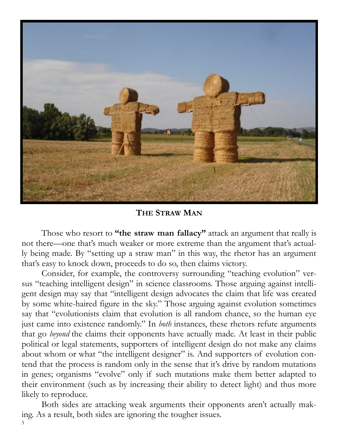

**THE STRAW MAN**

Those who resort to **"the straw man fallacy"** attack an argument that really is not there—one that's much weaker or more extreme than the argument that's actually being made. By "setting up a straw man" in this way, the rhetor has an argument that's easy to knock down, proceeds to do so, then claims victory.

Consider, for example, the controversy surrounding "teaching evolution" versus "teaching intelligent design" in science classrooms. Those arguing against intelligent design may say that "intelligent design advocates the claim that life was created by some white-haired figure in the sky." Those arguing against evolution sometimes say that "evolutionists claim that evolution is all random chance, so the human eye just came into existence randomly." In *both* instances, these rhetors refute arguments that go *beyond* the claims their opponents have actually made. At least in their public political or legal statements, supporters of intelligent design do not make any claims about whom or what "the intelligent designer" is. And supporters of evolution contend that the process is random only in the sense that it's drive by random mutations in genes; organisms "evolve" only if such mutations make them better adapted to their environment (such as by increasing their ability to detect light) and thus more likely to reproduce.

3 Both sides are attacking weak arguments their opponents aren't actually making. As a result, both sides are ignoring the tougher issues.